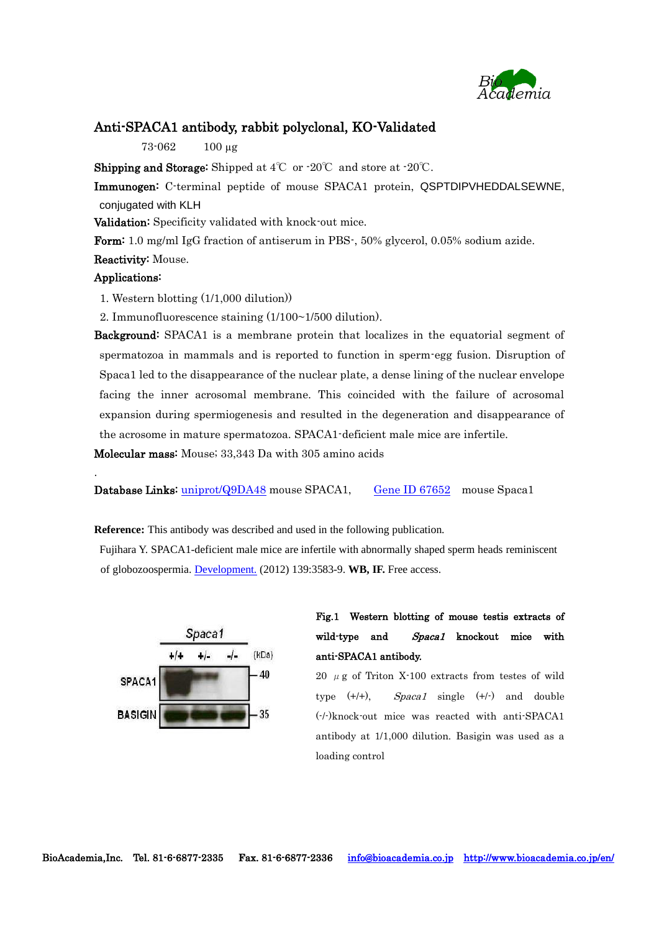

### Anti-SPACA1 antibody, rabbit polyclonal, KO-Validated

73-062 100 µg

**Shipping and Storage:** Shipped at  $4^{\circ}\text{C}$  or  $-20^{\circ}\text{C}$  and store at  $-20^{\circ}\text{C}$ .

Immunogen: C-terminal peptide of mouse SPACA1 protein, QSPTDIPVHEDDALSEWNE, conjugated with KLH

Validation: Specificity validated with knock-out mice.

Form: 1.0 mg/ml IgG fraction of antiserum in PBS-, 50% glycerol, 0.05% sodium azide.

#### Reactivity: Mouse.

#### Applications:

.

1. Western blotting (1/1,000 dilution))

2. Immunofluorescence staining (1/100~1/500 dilution).

**Background:** SPACA1 is a membrane protein that localizes in the equatorial segment of spermatozoa in mammals and is reported to function in sperm-egg fusion. Disruption of Spaca1 led to the disappearance of the nuclear plate, a dense lining of the nuclear envelope facing the inner acrosomal membrane. This coincided with the failure of acrosomal expansion during spermiogenesis and resulted in the degeneration and disappearance of the acrosome in mature spermatozoa. SPACA1-deficient male mice are infertile.

Molecular mass: Mouse; 33,343 Da with 305 amino acids

Database Links: [uniprot/Q9DA48](http://www.uniprot.org/uniprot/Q9DA48) mouse SPACA1, [Gene ID 67652](http://www.ncbi.nlm.nih.gov/gene/67652) mouse Spaca1

**Reference:** This antibody was described and used in the following publication.

Fujihara Y. SPACA1-deficient male mice are infertile with abnormally shaped sperm heads reminiscent of globozoospermia[. Development.](http://www.ncbi.nlm.nih.gov/pubmed/22949614) (2012) 139:3583-9. **WB, IF.** Free access.



## Fig.1 Western blotting of mouse testis extracts of wild-type and Spaca1 knockout mice with anti-SPACA1 antibody.

20  $\mu$  g of Triton X-100 extracts from testes of wild type  $(+/+)$ , Spaca1 single  $(+/+)$  and double (-/-)knock-out mice was reacted with anti-SPACA1 antibody at 1/1,000 dilution. Basigin was used as a loading control